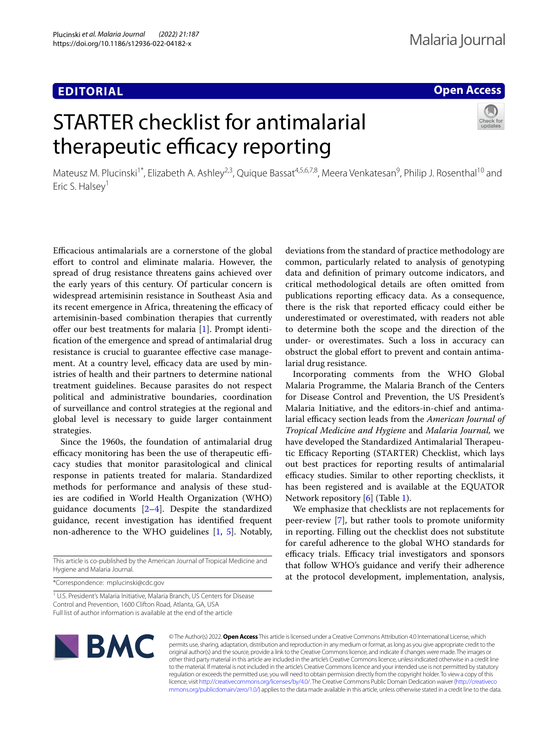# **EDITORIAL**

# **Open Access**

# STARTER checklist for antimalarial therapeutic efficacy reporting



Mateusz M. Plucinski<sup>1\*</sup>, Elizabeth A. Ashley<sup>2,3</sup>, Quique Bassat<sup>4,5,6,7,8</sup>, Meera Venkatesan<sup>9</sup>, Philip J. Rosenthal<sup>10</sup> and Eric S. Halsey<sup>1</sup>

Efcacious antimalarials are a cornerstone of the global effort to control and eliminate malaria. However, the spread of drug resistance threatens gains achieved over the early years of this century. Of particular concern is widespread artemisinin resistance in Southeast Asia and its recent emergence in Africa, threatening the efficacy of artemisinin-based combination therapies that currently offer our best treatments for malaria [[1\]](#page-2-0). Prompt identifcation of the emergence and spread of antimalarial drug resistance is crucial to guarantee efective case management. At a country level, efficacy data are used by ministries of health and their partners to determine national treatment guidelines. Because parasites do not respect political and administrative boundaries, coordination of surveillance and control strategies at the regional and global level is necessary to guide larger containment strategies.

Since the 1960s, the foundation of antimalarial drug efficacy monitoring has been the use of therapeutic efficacy studies that monitor parasitological and clinical response in patients treated for malaria. Standardized methods for performance and analysis of these studies are codifed in World Health Organization (WHO) guidance documents [\[2](#page-2-1)[–4](#page-2-2)]. Despite the standardized guidance, recent investigation has identifed frequent non-adherence to the WHO guidelines [\[1](#page-2-0), [5\]](#page-2-3). Notably,

\*Correspondence: mplucinski@cdc.gov

<sup>1</sup> U.S. President's Malaria Initiative, Malaria Branch, US Centers for Disease Control and Prevention, 1600 Clifton Road, Atlanta, GA, USA Full list of author information is available at the end of the article

**NBMC** 

deviations from the standard of practice methodology are common, particularly related to analysis of genotyping data and defnition of primary outcome indicators, and critical methodological details are often omitted from publications reporting efficacy data. As a consequence, there is the risk that reported efficacy could either be underestimated or overestimated, with readers not able to determine both the scope and the direction of the under- or overestimates. Such a loss in accuracy can obstruct the global efort to prevent and contain antimalarial drug resistance.

Incorporating comments from the WHO Global Malaria Programme, the Malaria Branch of the Centers for Disease Control and Prevention, the US President's Malaria Initiative, and the editors-in-chief and antimalarial efficacy section leads from the *American Journal of Tropical Medicine and Hygiene* and *Malaria Journal,* we have developed the Standardized Antimalarial Therapeutic Efficacy Reporting (STARTER) Checklist, which lays out best practices for reporting results of antimalarial efficacy studies. Similar to other reporting checklists, it has been registered and is available at the EQUATOR Network repository [[6\]](#page-2-4) (Table [1\)](#page-1-0).

We emphasize that checklists are not replacements for peer-review [\[7](#page-2-5)], but rather tools to promote uniformity in reporting. Filling out the checklist does not substitute for careful adherence to the global WHO standards for efficacy trials. Efficacy trial investigators and sponsors that follow WHO's guidance and verify their adherence at the protocol development, implementation, analysis,

© The Author(s) 2022. **Open Access** This article is licensed under a Creative Commons Attribution 4.0 International License, which permits use, sharing, adaptation, distribution and reproduction in any medium or format, as long as you give appropriate credit to the original author(s) and the source, provide a link to the Creative Commons licence, and indicate if changes were made. The images or other third party material in this article are included in the article's Creative Commons licence, unless indicated otherwise in a credit line to the material. If material is not included in the article's Creative Commons licence and your intended use is not permitted by statutory regulation or exceeds the permitted use, you will need to obtain permission directly from the copyright holder. To view a copy of this licence, visit [http://creativecommons.org/licenses/by/4.0/.](http://creativecommons.org/licenses/by/4.0/) The Creative Commons Public Domain Dedication waiver ([http://creativeco](http://creativecommons.org/publicdomain/zero/1.0/) [mmons.org/publicdomain/zero/1.0/](http://creativecommons.org/publicdomain/zero/1.0/)) applies to the data made available in this article, unless otherwise stated in a credit line to the data.

This article is co-published by the American Journal of Tropical Medicine and Hygiene and Malaria Journal.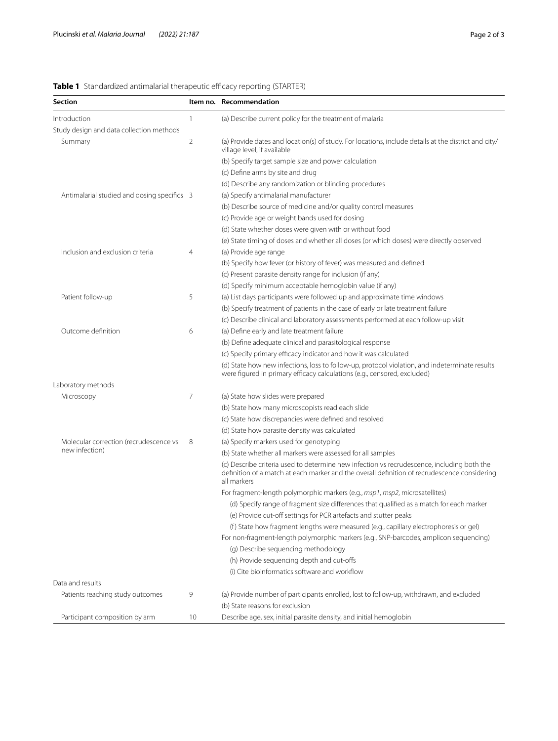# <span id="page-1-0"></span>**Table 1** Standardized antimalarial therapeutic efficacy reporting (STARTER)

| <b>Section</b>                              |                 | Item no. Recommendation                                                                                                                                                                                   |
|---------------------------------------------|-----------------|-----------------------------------------------------------------------------------------------------------------------------------------------------------------------------------------------------------|
| Introduction                                | 1               | (a) Describe current policy for the treatment of malaria                                                                                                                                                  |
| Study design and data collection methods    |                 |                                                                                                                                                                                                           |
| Summary                                     | 2               | (a) Provide dates and location(s) of study. For locations, include details at the district and city/<br>village level, if available                                                                       |
|                                             |                 | (b) Specify target sample size and power calculation                                                                                                                                                      |
|                                             |                 | (c) Define arms by site and drug                                                                                                                                                                          |
|                                             |                 | (d) Describe any randomization or blinding procedures                                                                                                                                                     |
| Antimalarial studied and dosing specifics 3 |                 | (a) Specify antimalarial manufacturer                                                                                                                                                                     |
|                                             |                 | (b) Describe source of medicine and/or quality control measures                                                                                                                                           |
|                                             |                 | (c) Provide age or weight bands used for dosing                                                                                                                                                           |
|                                             |                 | (d) State whether doses were given with or without food                                                                                                                                                   |
|                                             |                 | (e) State timing of doses and whether all doses (or which doses) were directly observed                                                                                                                   |
| Inclusion and exclusion criteria            | 4               | (a) Provide age range                                                                                                                                                                                     |
|                                             |                 | (b) Specify how fever (or history of fever) was measured and defined                                                                                                                                      |
|                                             |                 | (c) Present parasite density range for inclusion (if any)                                                                                                                                                 |
|                                             |                 | (d) Specify minimum acceptable hemoglobin value (if any)                                                                                                                                                  |
| Patient follow-up                           | 5               | (a) List days participants were followed up and approximate time windows                                                                                                                                  |
|                                             |                 | (b) Specify treatment of patients in the case of early or late treatment failure                                                                                                                          |
|                                             |                 | (c) Describe clinical and laboratory assessments performed at each follow-up visit                                                                                                                        |
| Outcome definition                          | 6               | (a) Define early and late treatment failure                                                                                                                                                               |
|                                             |                 | (b) Define adequate clinical and parasitological response                                                                                                                                                 |
|                                             |                 | (c) Specify primary efficacy indicator and how it was calculated                                                                                                                                          |
|                                             |                 | (d) State how new infections, loss to follow-up, protocol violation, and indeterminate results<br>were figured in primary efficacy calculations (e.g., censored, excluded)                                |
| Laboratory methods                          |                 |                                                                                                                                                                                                           |
| Microscopy                                  | 7               | (a) State how slides were prepared                                                                                                                                                                        |
|                                             |                 | (b) State how many microscopists read each slide                                                                                                                                                          |
|                                             |                 | (c) State how discrepancies were defined and resolved                                                                                                                                                     |
|                                             |                 | (d) State how parasite density was calculated                                                                                                                                                             |
| Molecular correction (recrudescence vs      | 8               | (a) Specify markers used for genotyping                                                                                                                                                                   |
| new infection)                              |                 | (b) State whether all markers were assessed for all samples                                                                                                                                               |
|                                             |                 | (c) Describe criteria used to determine new infection vs recrudescence, including both the<br>definition of a match at each marker and the overall definition of recrudescence considering<br>all markers |
|                                             |                 | For fragment-length polymorphic markers (e.g., msp1, msp2, microsatellites)                                                                                                                               |
|                                             |                 | (d) Specify range of fragment size differences that qualified as a match for each marker                                                                                                                  |
|                                             |                 | (e) Provide cut-off settings for PCR artefacts and stutter peaks                                                                                                                                          |
|                                             |                 | (f) State how fragment lengths were measured (e.g., capillary electrophoresis or gel)                                                                                                                     |
|                                             |                 | For non-fragment-length polymorphic markers (e.g., SNP-barcodes, amplicon sequencing)                                                                                                                     |
|                                             |                 | (g) Describe sequencing methodology                                                                                                                                                                       |
|                                             |                 | (h) Provide sequencing depth and cut-offs                                                                                                                                                                 |
|                                             |                 | (i) Cite bioinformatics software and workflow                                                                                                                                                             |
| Data and results                            |                 |                                                                                                                                                                                                           |
| Patients reaching study outcomes            | 9               | (a) Provide number of participants enrolled, lost to follow-up, withdrawn, and excluded                                                                                                                   |
|                                             |                 | (b) State reasons for exclusion                                                                                                                                                                           |
| Participant composition by arm              | 10 <sup>°</sup> | Describe age, sex, initial parasite density, and initial hemoglobin                                                                                                                                       |